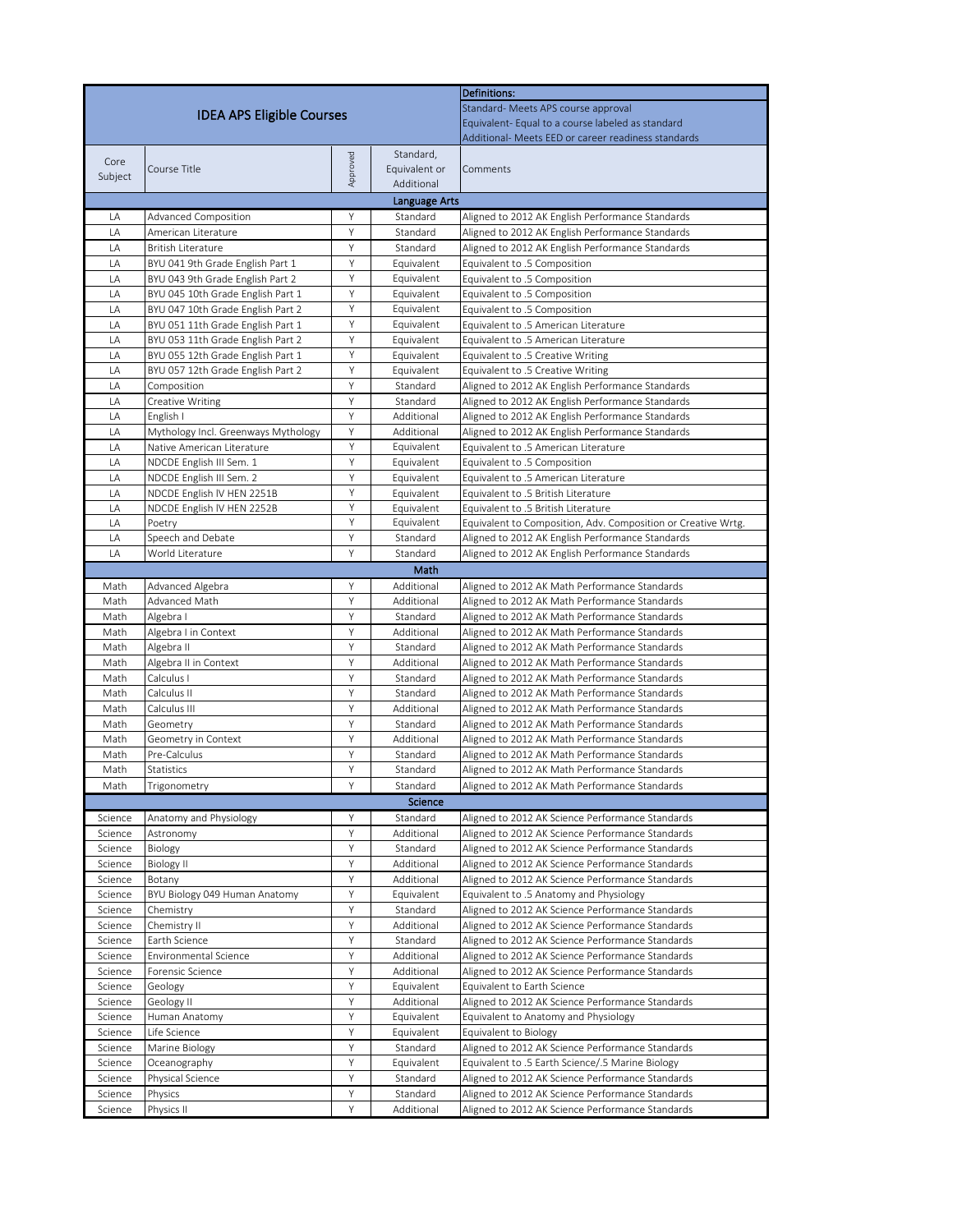|                    |                                                                      | <b>Definitions:</b>                              |                          |                                                                                                      |  |  |  |  |  |
|--------------------|----------------------------------------------------------------------|--------------------------------------------------|--------------------------|------------------------------------------------------------------------------------------------------|--|--|--|--|--|
|                    | <b>IDEA APS Eligible Courses</b>                                     | Standard- Meets APS course approval              |                          |                                                                                                      |  |  |  |  |  |
|                    |                                                                      | Equivalent-Equal to a course labeled as standard |                          |                                                                                                      |  |  |  |  |  |
|                    |                                                                      |                                                  |                          | Additional- Meets EED or career readiness standards                                                  |  |  |  |  |  |
| Core               |                                                                      |                                                  | Standard,                |                                                                                                      |  |  |  |  |  |
| Subject            | Course Title                                                         | Approved                                         | Equivalent or            | Comments                                                                                             |  |  |  |  |  |
| Additional         |                                                                      |                                                  |                          |                                                                                                      |  |  |  |  |  |
|                    | Language Arts                                                        |                                                  |                          |                                                                                                      |  |  |  |  |  |
| LA                 | <b>Advanced Composition</b>                                          | Υ                                                | Standard                 | Aligned to 2012 AK English Performance Standards                                                     |  |  |  |  |  |
| LA                 | American Literature                                                  | Y                                                | Standard                 | Aligned to 2012 AK English Performance Standards                                                     |  |  |  |  |  |
| LA<br>LA           | <b>British Literature</b>                                            | Υ                                                | Standard                 | Aligned to 2012 AK English Performance Standards                                                     |  |  |  |  |  |
| LA                 | BYU 041 9th Grade English Part 1<br>BYU 043 9th Grade English Part 2 | Υ<br>Y                                           | Equivalent<br>Equivalent | Equivalent to .5 Composition                                                                         |  |  |  |  |  |
| LA                 | BYU 045 10th Grade English Part 1                                    | Υ                                                | Equivalent               | Equivalent to .5 Composition<br>Equivalent to .5 Composition                                         |  |  |  |  |  |
| LA                 | BYU 047 10th Grade English Part 2                                    | Y                                                | Equivalent               | Equivalent to .5 Composition                                                                         |  |  |  |  |  |
| LA                 | BYU 051 11th Grade English Part 1                                    | Υ                                                | Equivalent               | Equivalent to .5 American Literature                                                                 |  |  |  |  |  |
| LA                 | BYU 053 11th Grade English Part 2                                    | Y                                                | Equivalent               | Equivalent to .5 American Literature                                                                 |  |  |  |  |  |
| LA                 | BYU 055 12th Grade English Part 1                                    | Y                                                | Equivalent               | Equivalent to .5 Creative Writing                                                                    |  |  |  |  |  |
| LA                 | BYU 057 12th Grade English Part 2                                    | Y                                                | Equivalent               | Equivalent to .5 Creative Writing                                                                    |  |  |  |  |  |
| LA                 | Composition                                                          | Υ                                                | Standard                 | Aligned to 2012 AK English Performance Standards                                                     |  |  |  |  |  |
| LA                 | Creative Writing                                                     | Y                                                | Standard                 | Aligned to 2012 AK English Performance Standards                                                     |  |  |  |  |  |
| LA                 | English I                                                            | Y                                                | Additional               | Aligned to 2012 AK English Performance Standards                                                     |  |  |  |  |  |
| LA                 | Mythology Incl. Greenways Mythology                                  | Υ                                                | Additional               | Aligned to 2012 AK English Performance Standards                                                     |  |  |  |  |  |
| LA                 | Native American Literature                                           | Y                                                | Equivalent               | Equivalent to .5 American Literature                                                                 |  |  |  |  |  |
| LA                 | NDCDE English III Sem. 1                                             | Υ                                                | Equivalent               | Equivalent to .5 Composition                                                                         |  |  |  |  |  |
| LA                 | NDCDE English III Sem. 2                                             | Y                                                | Equivalent               | Equivalent to .5 American Literature                                                                 |  |  |  |  |  |
| LA                 | NDCDE English IV HEN 2251B                                           | Υ                                                | Equivalent               | Equivalent to .5 British Literature                                                                  |  |  |  |  |  |
| LA                 | NDCDE English IV HEN 2252B                                           | Y                                                | Equivalent               | Equivalent to .5 British Literature                                                                  |  |  |  |  |  |
| LA<br>LA           | Poetry<br>Speech and Debate                                          | Υ<br>Y                                           | Equivalent               | Equivalent to Composition, Adv. Composition or Creative Wrtg.                                        |  |  |  |  |  |
| LA                 | World Literature                                                     | Y                                                | Standard<br>Standard     | Aligned to 2012 AK English Performance Standards                                                     |  |  |  |  |  |
|                    |                                                                      |                                                  | Math                     | Aligned to 2012 AK English Performance Standards                                                     |  |  |  |  |  |
| Math               | Advanced Algebra                                                     | Υ                                                | Additional               | Aligned to 2012 AK Math Performance Standards                                                        |  |  |  |  |  |
| Math               | Advanced Math                                                        | Υ                                                | Additional               | Aligned to 2012 AK Math Performance Standards                                                        |  |  |  |  |  |
| Math               | Algebra I                                                            | Υ                                                | Standard                 | Aligned to 2012 AK Math Performance Standards                                                        |  |  |  |  |  |
| Math               | Algebra I in Context                                                 | Υ                                                | Additional               | Aligned to 2012 AK Math Performance Standards                                                        |  |  |  |  |  |
| Math               | Algebra II                                                           | Υ                                                | Standard                 | Aligned to 2012 AK Math Performance Standards                                                        |  |  |  |  |  |
| Math               | Algebra II in Context                                                | Υ                                                | Additional               | Aligned to 2012 AK Math Performance Standards                                                        |  |  |  |  |  |
| Math               | Calculus I                                                           | Y                                                | Standard                 | Aligned to 2012 AK Math Performance Standards                                                        |  |  |  |  |  |
| Math               | Calculus II                                                          | Υ                                                | Standard                 | Aligned to 2012 AK Math Performance Standards                                                        |  |  |  |  |  |
| Math               | Calculus III                                                         | Y                                                | Additional               | Aligned to 2012 AK Math Performance Standards                                                        |  |  |  |  |  |
| Math               | Geometry                                                             | Y                                                | Standard                 | Aligned to 2012 AK Math Performance Standards                                                        |  |  |  |  |  |
| Math               | Geometry in Context                                                  | Υ                                                | Additional               | Aligned to 2012 AK Math Performance Standards                                                        |  |  |  |  |  |
| Math               | Pre-Calculus                                                         | Υ                                                | Standard                 | Aligned to 2012 AK Math Performance Standards                                                        |  |  |  |  |  |
| Math               | Statistics                                                           | Y                                                | Standard                 | Aligned to 2012 AK Math Performance Standards                                                        |  |  |  |  |  |
| Math               | Trigonometry                                                         | Υ                                                | Standard                 | Aligned to 2012 AK Math Performance Standards                                                        |  |  |  |  |  |
|                    |                                                                      |                                                  | Science                  |                                                                                                      |  |  |  |  |  |
| Science            | Anatomy and Physiology                                               | Y                                                | Standard                 | Aligned to 2012 AK Science Performance Standards                                                     |  |  |  |  |  |
| Science            | Astronomy                                                            | Υ                                                | Additional               | Aligned to 2012 AK Science Performance Standards                                                     |  |  |  |  |  |
| Science            | Biology                                                              | Y                                                | Standard                 | Aligned to 2012 AK Science Performance Standards                                                     |  |  |  |  |  |
| Science            | <b>Biology II</b>                                                    | Υ                                                | Additional               | Aligned to 2012 AK Science Performance Standards                                                     |  |  |  |  |  |
| Science            | Botany                                                               | Υ                                                | Additional               | Aligned to 2012 AK Science Performance Standards                                                     |  |  |  |  |  |
| Science            | BYU Biology 049 Human Anatomy                                        | Υ                                                | Equivalent               | Equivalent to .5 Anatomy and Physiology                                                              |  |  |  |  |  |
| Science            | Chemistry                                                            | Υ<br>Υ                                           | Standard<br>Additional   | Aligned to 2012 AK Science Performance Standards                                                     |  |  |  |  |  |
| Science<br>Science | Chemistry II<br>Earth Science                                        | Υ                                                | Standard                 | Aligned to 2012 AK Science Performance Standards<br>Aligned to 2012 AK Science Performance Standards |  |  |  |  |  |
| Science            | <b>Environmental Science</b>                                         | Υ                                                | Additional               | Aligned to 2012 AK Science Performance Standards                                                     |  |  |  |  |  |
| Science            | Forensic Science                                                     | Υ                                                | Additional               | Aligned to 2012 AK Science Performance Standards                                                     |  |  |  |  |  |
| Science            | Geology                                                              | Υ                                                | Equivalent               | Equivalent to Earth Science                                                                          |  |  |  |  |  |
| Science            | Geology II                                                           | Υ                                                | Additional               | Aligned to 2012 AK Science Performance Standards                                                     |  |  |  |  |  |
| Science            | Human Anatomy                                                        | Υ                                                | Equivalent               | Equivalent to Anatomy and Physiology                                                                 |  |  |  |  |  |
| Science            | Life Science                                                         | Υ                                                | Equivalent               | Equivalent to Biology                                                                                |  |  |  |  |  |
| Science            | Marine Biology                                                       | Υ                                                | Standard                 | Aligned to 2012 AK Science Performance Standards                                                     |  |  |  |  |  |
| Science            | Oceanography                                                         | Υ                                                | Equivalent               | Equivalent to .5 Earth Science/.5 Marine Biology                                                     |  |  |  |  |  |
| Science            | Physical Science                                                     | Υ                                                | Standard                 | Aligned to 2012 AK Science Performance Standards                                                     |  |  |  |  |  |
| Science            | Physics                                                              | Υ                                                | Standard                 | Aligned to 2012 AK Science Performance Standards                                                     |  |  |  |  |  |
| Science            | Physics II                                                           | Y                                                | Additional               | Aligned to 2012 AK Science Performance Standards                                                     |  |  |  |  |  |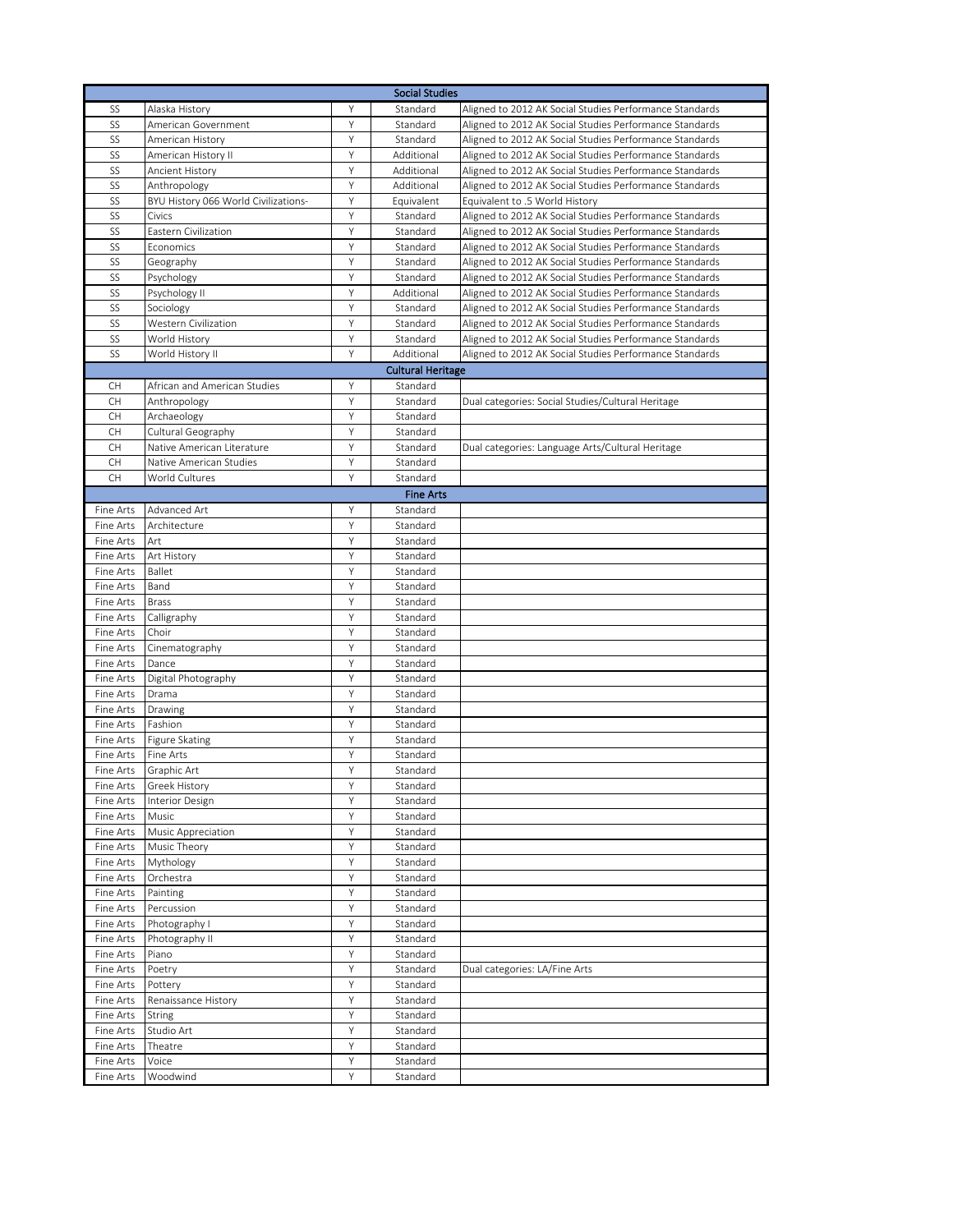| <b>Social Studies</b>  |                                      |        |                          |                                                         |  |  |  |
|------------------------|--------------------------------------|--------|--------------------------|---------------------------------------------------------|--|--|--|
| SS                     | Alaska History                       | Υ      | Standard                 | Aligned to 2012 AK Social Studies Performance Standards |  |  |  |
| SS                     | American Government                  | Υ      | Standard                 | Aligned to 2012 AK Social Studies Performance Standards |  |  |  |
| SS                     | American History                     | Υ      | Standard                 | Aligned to 2012 AK Social Studies Performance Standards |  |  |  |
| SS                     | American History II                  | Υ      | Additional               | Aligned to 2012 AK Social Studies Performance Standards |  |  |  |
| SS                     | Ancient History                      | Υ      | Additional               | Aligned to 2012 AK Social Studies Performance Standards |  |  |  |
| SS                     | Anthropology                         | Υ      | Additional               | Aligned to 2012 AK Social Studies Performance Standards |  |  |  |
| SS                     | BYU History 066 World Civilizations- | Υ      | Equivalent               | Equivalent to .5 World History                          |  |  |  |
| SS                     | Civics                               | Υ      | Standard                 | Aligned to 2012 AK Social Studies Performance Standards |  |  |  |
| SS                     | Eastern Civilization                 | Υ      | Standard                 | Aligned to 2012 AK Social Studies Performance Standards |  |  |  |
| SS                     | Economics                            | Υ      | Standard                 | Aligned to 2012 AK Social Studies Performance Standards |  |  |  |
| SS                     | Geography                            | Υ      | Standard                 | Aligned to 2012 AK Social Studies Performance Standards |  |  |  |
| SS                     | Psychology                           | Y      | Standard                 | Aligned to 2012 AK Social Studies Performance Standards |  |  |  |
| SS                     | Psychology II                        | Υ      | Additional               | Aligned to 2012 AK Social Studies Performance Standards |  |  |  |
| SS                     | Sociology                            | Υ      | Standard                 | Aligned to 2012 AK Social Studies Performance Standards |  |  |  |
| SS                     | Western Civilization                 | Υ      | Standard                 | Aligned to 2012 AK Social Studies Performance Standards |  |  |  |
| SS                     | World History                        | Υ      | Standard                 | Aligned to 2012 AK Social Studies Performance Standards |  |  |  |
| SS                     | World History II                     | Υ      | Additional               | Aligned to 2012 AK Social Studies Performance Standards |  |  |  |
|                        |                                      |        | <b>Cultural Heritage</b> |                                                         |  |  |  |
| CH                     | African and American Studies         | Υ      | Standard                 |                                                         |  |  |  |
| <b>CH</b>              | Anthropology                         | Y      | Standard                 | Dual categories: Social Studies/Cultural Heritage       |  |  |  |
| CH                     | Archaeology                          | Υ      | Standard                 |                                                         |  |  |  |
| CH                     | Cultural Geography                   | Υ      | Standard                 |                                                         |  |  |  |
| CH                     | Native American Literature           | Υ      | Standard                 | Dual categories: Language Arts/Cultural Heritage        |  |  |  |
| <b>CH</b>              | Native American Studies              | Υ      | Standard                 |                                                         |  |  |  |
| <b>CH</b>              | World Cultures                       | Y      | Standard                 |                                                         |  |  |  |
|                        |                                      |        | <b>Fine Arts</b>         |                                                         |  |  |  |
| Fine Arts              | Advanced Art                         | Υ      | Standard                 |                                                         |  |  |  |
| Fine Arts              | Architecture                         | Υ      | Standard                 |                                                         |  |  |  |
| Fine Arts              | Art                                  | Υ      | Standard                 |                                                         |  |  |  |
| Fine Arts              | <b>Art History</b>                   | Υ      | Standard                 |                                                         |  |  |  |
| Fine Arts              | Ballet                               | Y      | Standard                 |                                                         |  |  |  |
| Fine Arts              | Band                                 | Y      | Standard                 |                                                         |  |  |  |
| Fine Arts              | <b>Brass</b>                         | Υ      | Standard                 |                                                         |  |  |  |
| Fine Arts              | Calligraphy                          | Υ      | Standard                 |                                                         |  |  |  |
| Fine Arts              | Choir                                | Υ      | Standard                 |                                                         |  |  |  |
| Fine Arts              | Cinematography                       | Υ      | Standard                 |                                                         |  |  |  |
| Fine Arts              | Dance                                | Υ      | Standard                 |                                                         |  |  |  |
| Fine Arts              | Digital Photography                  | Y<br>Y | Standard                 |                                                         |  |  |  |
| Fine Arts<br>Fine Arts | Drama                                | Y      | Standard<br>Standard     |                                                         |  |  |  |
| Fine Arts              | Drawing<br>Fashion                   | Υ      | Standard                 |                                                         |  |  |  |
| Fine Arts              | <b>Figure Skating</b>                | Υ      | Standard                 |                                                         |  |  |  |
| Fine Arts              | Fine Arts                            | Υ      | Standard                 |                                                         |  |  |  |
| Fine Arts              | Graphic Art                          | Υ      | Standard                 |                                                         |  |  |  |
| Fine Arts              | Greek History                        | Υ      | Standard                 |                                                         |  |  |  |
| Fine Arts              | Interior Design                      | Y      | Standard                 |                                                         |  |  |  |
| Fine Arts              | Music                                | Y      | Standard                 |                                                         |  |  |  |
| Fine Arts              | Music Appreciation                   | Υ      | Standard                 |                                                         |  |  |  |
| Fine Arts              | Music Theory                         | Y      | Standard                 |                                                         |  |  |  |
| Fine Arts              | Mythology                            | Υ      | Standard                 |                                                         |  |  |  |
| Fine Arts              | Orchestra                            | Υ      | Standard                 |                                                         |  |  |  |
| Fine Arts              | Painting                             | Υ      | Standard                 |                                                         |  |  |  |
| Fine Arts              | Percussion                           | Υ      | Standard                 |                                                         |  |  |  |
| Fine Arts              | Photography I                        | Υ      | Standard                 |                                                         |  |  |  |
| Fine Arts              | Photography II                       | Υ      | Standard                 |                                                         |  |  |  |
| Fine Arts              | Piano                                | Y      | Standard                 |                                                         |  |  |  |
| Fine Arts              | Poetry                               | Y      | Standard                 | Dual categories: LA/Fine Arts                           |  |  |  |
| Fine Arts              | Pottery                              | Υ      | Standard                 |                                                         |  |  |  |
| Fine Arts              | Renaissance History                  | Υ      | Standard                 |                                                         |  |  |  |
| Fine Arts              | String                               | Υ      | Standard                 |                                                         |  |  |  |
| Fine Arts              | Studio Art                           | Υ      | Standard                 |                                                         |  |  |  |
| Fine Arts              | Theatre                              | Υ      | Standard                 |                                                         |  |  |  |
| Fine Arts              | Voice                                | Y      | Standard                 |                                                         |  |  |  |
| Fine Arts              | Woodwind                             | Y      | Standard                 |                                                         |  |  |  |